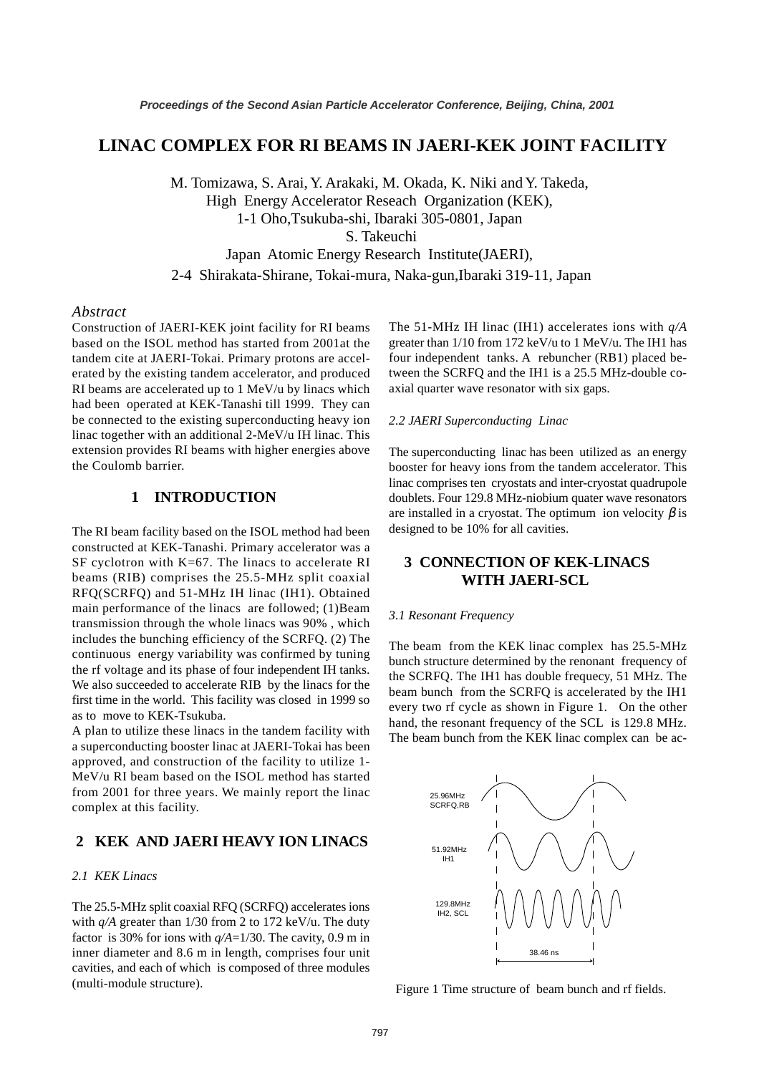# **LINAC COMPLEX FOR RI BEAMS IN JAERI-KEK JOINT FACILITY**

M. Tomizawa, S. Arai, Y. Arakaki, M. Okada, K. Niki and Y. Takeda, High Energy Accelerator Reseach Organization (KEK), 1-1 Oho,Tsukuba-shi, Ibaraki 305-0801, Japan S. Takeuchi Japan Atomic Energy Research Institute(JAERI),

2-4 Shirakata-Shirane, Tokai-mura, Naka-gun,Ibaraki 319-11, Japan

### *Abstract*

Construction of JAERI-KEK joint facility for RI beams based on the ISOL method has started from 2001at the tandem cite at JAERI-Tokai. Primary protons are accelerated by the existing tandem accelerator, and produced RI beams are accelerated up to 1 MeV/u by linacs which had been operated at KEK-Tanashi till 1999. They can be connected to the existing superconducting heavy ion linac together with an additional 2-MeV/u IH linac. This extension provides RI beams with higher energies above the Coulomb barrier.

## **1 INTRODUCTION**

The RI beam facility based on the ISOL method had been constructed at KEK-Tanashi. Primary accelerator was a SF cyclotron with K=67. The linacs to accelerate RI beams (RIB) comprises the 25.5-MHz split coaxial RFQ(SCRFQ) and 51-MHz IH linac (IH1). Obtained main performance of the linacs are followed; (1)Beam transmission through the whole linacs was 90% , which includes the bunching efficiency of the SCRFQ. (2) The continuous energy variability was confirmed by tuning the rf voltage and its phase of four independent IH tanks. We also succeeded to accelerate RIB by the linacs for the first time in the world. This facility was closed in 1999 so as to move to KEK-Tsukuba.

A plan to utilize these linacs in the tandem facility with a superconducting booster linac at JAERI-Tokai has been approved, and construction of the facility to utilize 1- MeV/u RI beam based on the ISOL method has started from 2001 for three years. We mainly report the linac complex at this facility.

## **2 KEK AND JAERI HEAVY ION LINACS**

### *2.1 KEK Linacs*

The 25.5-MHz split coaxial RFQ (SCRFQ) accelerates ions with  $q/A$  greater than 1/30 from 2 to 172 keV/u. The duty factor is 30% for ions with  $q/A=1/30$ . The cavity, 0.9 m in inner diameter and 8.6 m in length, comprises four unit cavities, and each of which is composed of three modules (multi-module structure).

The 51-MHz IH linac (IH1) accelerates ions with *q/A* greater than 1/10 from 172 keV/u to 1 MeV/u. The IH1 has four independent tanks. A rebuncher (RB1) placed between the SCRFQ and the IH1 is a 25.5 MHz-double coaxial quarter wave resonator with six gaps.

### *2.2 JAERI Superconducting Linac*

The superconducting linac has been utilized as an energy booster for heavy ions from the tandem accelerator. This linac comprises ten cryostats and inter-cryostat quadrupole doublets. Four 129.8 MHz-niobium quater wave resonators are installed in a cryostat. The optimum ion velocity  $\beta$  is designed to be 10% for all cavities.

# **3 CONNECTION OF KEK-LINACS WITH JAERI-SCL**

#### *3.1 Resonant Frequency*

The beam from the KEK linac complex has 25.5-MHz bunch structure determined by the renonant frequency of the SCRFQ. The IH1 has double frequecy, 51 MHz. The beam bunch from the SCRFQ is accelerated by the IH1 every two rf cycle as shown in Figure 1. On the other hand, the resonant frequency of the SCL is 129.8 MHz. The beam bunch from the KEK linac complex can be ac-



Figure 1 Time structure of beam bunch and rf fields.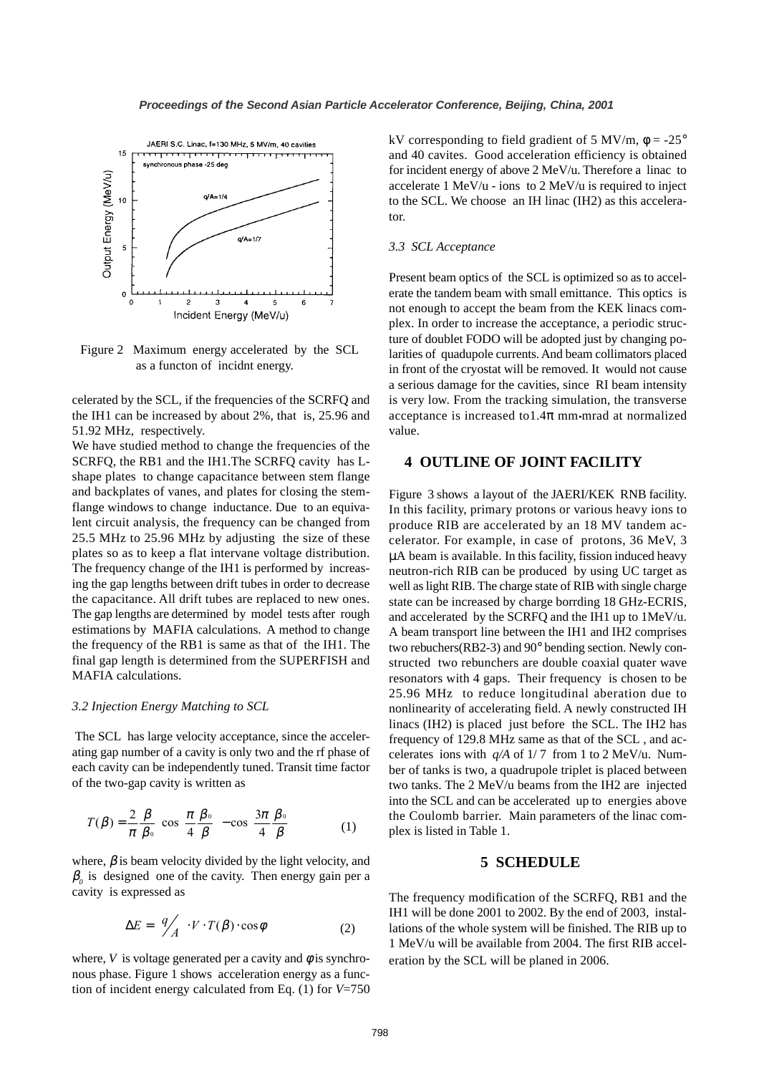

Figure 2 Maximum energy accelerated by the SCL as a functon of incidnt energy.

celerated by the SCL, if the frequencies of the SCRFQ and the IH1 can be increased by about 2%, that is, 25.96 and 51.92 MHz, respectively.

We have studied method to change the frequencies of the SCRFQ, the RB1 and the IH1.The SCRFQ cavity has Lshape plates to change capacitance between stem flange and backplates of vanes, and plates for closing the stemflange windows to change inductance. Due to an equivalent circuit analysis, the frequency can be changed from 25.5 MHz to 25.96 MHz by adjusting the size of these plates so as to keep a flat intervane voltage distribution. The frequency change of the IH1 is performed by increasing the gap lengths between drift tubes in order to decrease the capacitance. All drift tubes are replaced to new ones. The gap lengths are determined by model tests after rough estimations by MAFIA calculations. A method to change the frequency of the RB1 is same as that of the IH1. The final gap length is determined from the SUPERFISH and MAFIA calculations.

#### *3.2 Injection Energy Matching to SCL*

 The SCL has large velocity acceptance, since the accelerating gap number of a cavity is only two and the rf phase of each cavity can be independently tuned. Transit time factor of the two-gap cavity is written as

$$
T(\beta) = \frac{2}{\pi} \frac{\beta}{\beta_o} \left[ \cos \left( \frac{\pi}{4} \frac{\beta_o}{\beta} \right) - \cos \left( \frac{3\pi}{4} \frac{\beta_o}{\beta} \right) \right]
$$
 (1)

where,  $\beta$  is beam velocity divided by the light velocity, and  $\beta$ <sub>o</sub> is designed one of the cavity. Then energy gain per a cavity is expressed as

$$
\Delta E = \left(\frac{q}{A}\right) \cdot V \cdot T(\beta) \cdot \cos \phi \tag{2}
$$

where,  $V$  is voltage generated per a cavity and  $\phi$  is synchronous phase. Figure 1 shows acceleration energy as a function of incident energy calculated from Eq. (1) for *V*=750 kV corresponding to field gradient of 5 MV/m,  $\phi = -25^{\circ}$ and 40 cavites. Good acceleration efficiency is obtained for incident energy of above 2 MeV/u. Therefore a linac to accelerate 1 MeV/u - ions to 2 MeV/u is required to inject to the SCL. We choose an IH linac (IH2) as this accelerator.

#### *3.3 SCL Acceptance*

Present beam optics of the SCL is optimized so as to accelerate the tandem beam with small emittance. This optics is not enough to accept the beam from the KEK linacs complex. In order to increase the acceptance, a periodic structure of doublet FODO will be adopted just by changing polarities of quadupole currents. And beam collimators placed in front of the cryostat will be removed. It would not cause a serious damage for the cavities, since RI beam intensity is very low. From the tracking simulation, the transverse acceptance is increased to  $1.4\pi$  mm•mrad at normalized value.

## **4 OUTLINE OF JOINT FACILITY**

Figure 3 shows a layout of the JAERI/KEK RNB facility. In this facility, primary protons or various heavy ions to produce RIB are accelerated by an 18 MV tandem accelerator. For example, in case of protons, 36 MeV, 3 µA beam is available. In this facility, fission induced heavy neutron-rich RIB can be produced by using UC target as well as light RIB. The charge state of RIB with single charge state can be increased by charge borrding 18 GHz-ECRIS, and accelerated by the SCRFQ and the IH1 up to 1MeV/u. A beam transport line between the IH1 and IH2 comprises two rebuchers(RB2-3) and 90° bending section. Newly constructed two rebunchers are double coaxial quater wave resonators with 4 gaps. Their frequency is chosen to be 25.96 MHz to reduce longitudinal aberation due to nonlinearity of accelerating field. A newly constructed IH linacs (IH2) is placed just before the SCL. The IH2 has frequency of 129.8 MHz same as that of the SCL , and accelerates ions with  $q/A$  of  $1/7$  from 1 to 2 MeV/u. Number of tanks is two, a quadrupole triplet is placed between two tanks. The 2 MeV/u beams from the IH2 are injected into the SCL and can be accelerated up to energies above the Coulomb barrier. Main parameters of the linac complex is listed in Table 1.

### **5 SCHEDULE**

The frequency modification of the SCRFQ, RB1 and the IH1 will be done 2001 to 2002. By the end of 2003, installations of the whole system will be finished. The RIB up to 1 MeV/u will be available from 2004. The first RIB acceleration by the SCL will be planed in 2006.